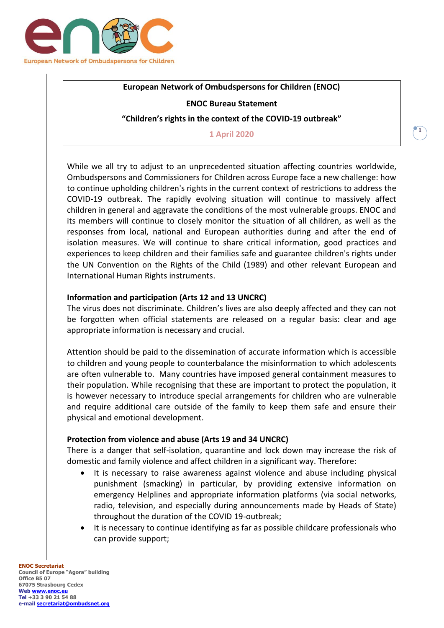

# **European Network of Ombudspersons for Children (ENOC)**

## **ENOC Bureau Statement**

## **"Children's rights in the context of the COVID-19 outbreak"**

### **1 April 2020**

While we all try to adjust to an unprecedented situation affecting countries worldwide, Ombudspersons and Commissioners for Children across Europe face a new challenge: how to continue upholding children's rights in the current context of restrictions to address the COVID-19 outbreak. The rapidly evolving situation will continue to massively affect children in general and aggravate the conditions of the most vulnerable groups. ENOC and its members will continue to closely monitor the situation of all children, as well as the responses from local, national and European authorities during and after the end of isolation measures. We will continue to share critical information, good practices and experiences to keep children and their families safe and guarantee children's rights under the UN Convention on the Rights of the Child (1989) and other relevant European and International Human Rights instruments.

## **Information and participation (Arts 12 and 13 UNCRC)**

The virus does not discriminate. Children's lives are also deeply affected and they can not be forgotten when official statements are released on a regular basis: clear and age appropriate information is necessary and crucial.

Attention should be paid to the dissemination of accurate information which is accessible to children and young people to counterbalance the misinformation to which adolescents are often vulnerable to. Many countries have imposed general containment measures to their population. While recognising that these are important to protect the population, it is however necessary to introduce special arrangements for children who are vulnerable and require additional care outside of the family to keep them safe and ensure their physical and emotional development.

### **Protection from violence and abuse (Arts 19 and 34 UNCRC)**

There is a danger that self-isolation, quarantine and lock down may increase the risk of domestic and family violence and affect children in a significant way. Therefore:

- It is necessary to raise awareness against violence and abuse including physical punishment (smacking) in particular, by providing extensive information on emergency Helplines and appropriate information platforms (via social networks, radio, television, and especially during announcements made by Heads of State) throughout the duration of the COVID 19-outbreak;
- It is necessary to continue identifying as far as possible childcare professionals who can provide support;

**ENOC Secretariat Council of Europe "Agora" building Office B5 07 67075 Strasbourg Cedex Web [www.enoc.eu](http://www.enoc.eu/) Tel +33 3 90 21 54 88 e-mail [secretariat@ombudsnet.org](mailto:secretariat@ombudsnet.org)**

### **1**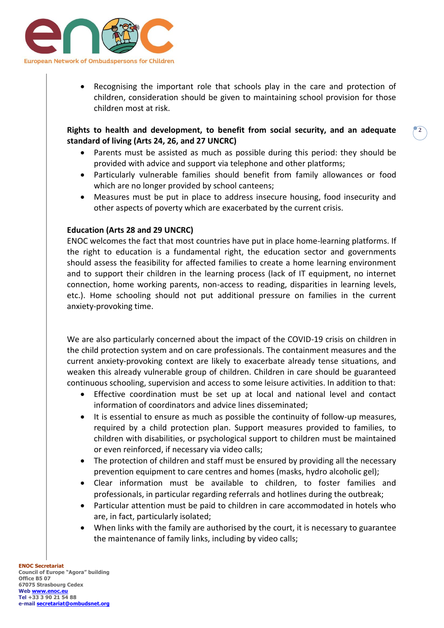

 Recognising the important role that schools play in the care and protection of children, consideration should be given to maintaining school provision for those children most at risk.

**Rights to health and development, to benefit from social security, and an adequate standard of living (Arts 24, 26, and 27 UNCRC)**

 Parents must be assisted as much as possible during this period: they should be provided with advice and support via telephone and other platforms;

**2**

- Particularly vulnerable families should benefit from family allowances or food which are no longer provided by school canteens;
- Measures must be put in place to address insecure housing, food insecurity and other aspects of poverty which are exacerbated by the current crisis.

# **Education (Arts 28 and 29 UNCRC)**

ENOC welcomes the fact that most countries have put in place home-learning platforms. If the right to education is a fundamental right, the education sector and governments should assess the feasibility for affected families to create a home learning environment and to support their children in the learning process (lack of IT equipment, no internet connection, home working parents, non-access to reading, disparities in learning levels, etc.). Home schooling should not put additional pressure on families in the current anxiety-provoking time.

We are also particularly concerned about the impact of the COVID-19 crisis on children in the child protection system and on care professionals. The containment measures and the current anxiety-provoking context are likely to exacerbate already tense situations, and weaken this already vulnerable group of children. Children in care should be guaranteed continuous schooling, supervision and access to some leisure activities. In addition to that:

- Effective coordination must be set up at local and national level and contact information of coordinators and advice lines disseminated;
- It is essential to ensure as much as possible the continuity of follow-up measures, required by a child protection plan. Support measures provided to families, to children with disabilities, or psychological support to children must be maintained or even reinforced, if necessary via video calls;
- The protection of children and staff must be ensured by providing all the necessary prevention equipment to care centres and homes (masks, hydro alcoholic gel);
- Clear information must be available to children, to foster families and professionals, in particular regarding referrals and hotlines during the outbreak;
- Particular attention must be paid to children in care accommodated in hotels who are, in fact, particularly isolated;
- When links with the family are authorised by the court, it is necessary to guarantee the maintenance of family links, including by video calls;

**ENOC Secretariat Council of Europe "Agora" building Office B5 07 67075 Strasbourg Cedex Web [www.enoc.eu](http://www.enoc.eu/) Tel +33 3 90 21 54 88 e-mail [secretariat@ombudsnet.org](mailto:secretariat@ombudsnet.org)**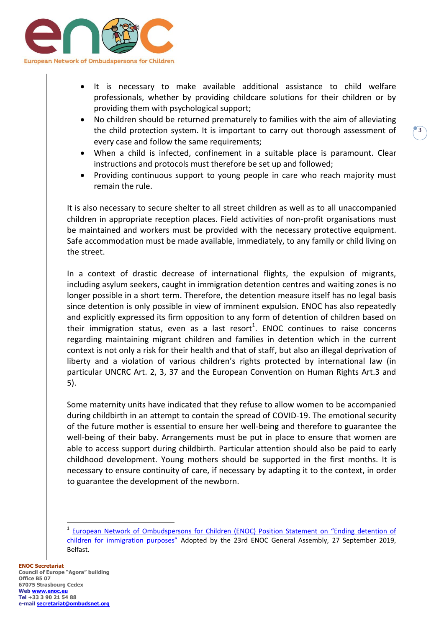

- It is necessary to make available additional assistance to child welfare professionals, whether by providing childcare solutions for their children or by providing them with psychological support;
- No children should be returned prematurely to families with the aim of alleviating the child protection system. It is important to carry out thorough assessment of every case and follow the same requirements;

**3**

- When a child is infected, confinement in a suitable place is paramount. Clear instructions and protocols must therefore be set up and followed;
- Providing continuous support to young people in care who reach majority must remain the rule.

It is also necessary to secure shelter to all street children as well as to all unaccompanied children in appropriate reception places. Field activities of non-profit organisations must be maintained and workers must be provided with the necessary protective equipment. Safe accommodation must be made available, immediately, to any family or child living on the street.

In a context of drastic decrease of international flights, the expulsion of migrants, including asylum seekers, caught in immigration detention centres and waiting zones is no longer possible in a short term. Therefore, the detention measure itself has no legal basis since detention is only possible in view of imminent expulsion. ENOC has also repeatedly and explicitly expressed its firm opposition to any form of detention of children based on their immigration status, even as a last resort<sup>1</sup>. ENOC continues to raise concerns regarding maintaining migrant children and families in detention which in the current context is not only a risk for their health and that of staff, but also an illegal deprivation of liberty and a violation of various children's rights protected by international law (in particular UNCRC Art. 2, 3, 37 and the European Convention on Human Rights Art.3 and 5).

Some maternity units have indicated that they refuse to allow women to be accompanied during childbirth in an attempt to contain the spread of COVID-19. The emotional security of the future mother is essential to ensure her well-being and therefore to guarantee the well-being of their baby. Arrangements must be put in place to ensure that women are able to access support during childbirth. Particular attention should also be paid to early childhood development. Young mothers should be supported in the first months. It is necessary to ensure continuity of care, if necessary by adapting it to the context, in order to guarantee the development of the newborn.

**ENOC Secretariat Council of Europe "Agora" building Office B5 07 67075 Strasbourg Cedex Web [www.enoc.eu](http://www.enoc.eu/) Tel +33 3 90 21 54 88 e-mail [secretariat@ombudsnet.org](mailto:secretariat@ombudsnet.org)**

 $\overline{a}$ 

<sup>&</sup>lt;sup>1</sup> European Network of Ombudspersons for Children (ENOC) Position Statement on "Ending detention of [children for immigration purposes"](http://enoc.eu/wp-content/uploads/2019/10/ENOC-statement-on-ending-child-immigration-detention-FV.pdf) Adopted by the 23rd ENOC General Assembly, 27 September 2019, Belfast.